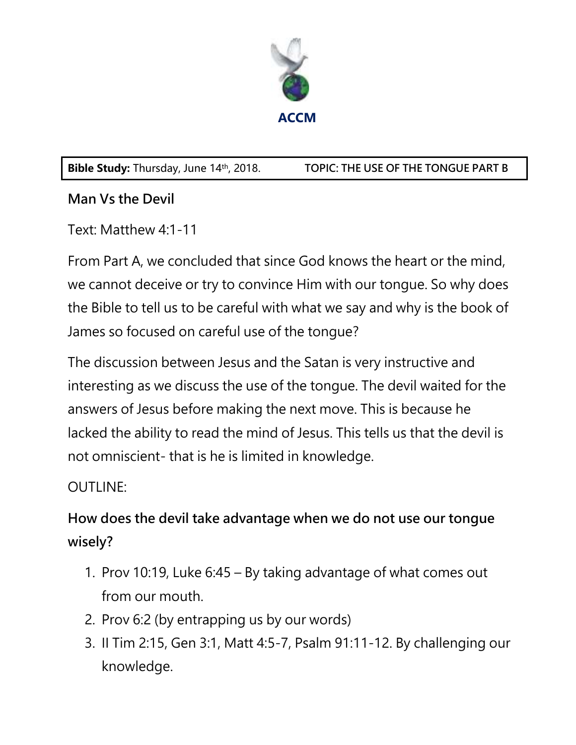

**Bible Study:** Thursday, June 14th, 2018. **TOPIC: THE USE OF THE TONGUE PART B** 

### **Man Vs the Devil**

Text: Matthew 4:1-11

From Part A, we concluded that since God knows the heart or the mind, we cannot deceive or try to convince Him with our tongue. So why does the Bible to tell us to be careful with what we say and why is the book of James so focused on careful use of the tongue?

The discussion between Jesus and the Satan is very instructive and interesting as we discuss the use of the tongue. The devil waited for the answers of Jesus before making the next move. This is because he lacked the ability to read the mind of Jesus. This tells us that the devil is not omniscient- that is he is limited in knowledge.

### OUTLINE:

# **How does the devil take advantage when we do not use our tongue wisely?**

- 1. Prov 10:19, Luke 6:45 By taking advantage of what comes out from our mouth.
- 2. Prov 6:2 (by entrapping us by our words)
- 3. II Tim 2:15, Gen 3:1, Matt 4:5-7, Psalm 91:11-12. By challenging our knowledge.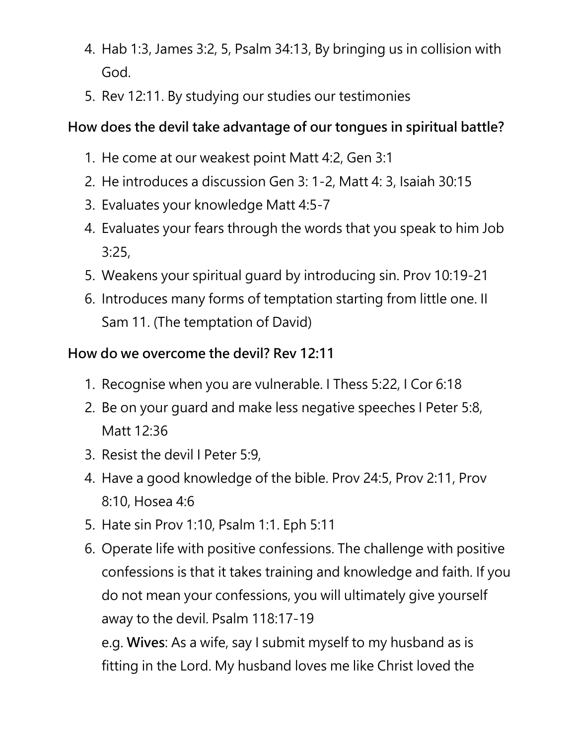- 4. Hab 1:3, James 3:2, 5, Psalm 34:13, By bringing us in collision with God.
- 5. Rev 12:11. By studying our studies our testimonies

## **How does the devil take advantage of our tongues in spiritual battle?**

- 1. He come at our weakest point Matt 4:2, Gen 3:1
- 2. He introduces a discussion Gen 3: 1-2, Matt 4: 3, Isaiah 30:15
- 3. Evaluates your knowledge Matt 4:5-7
- 4. Evaluates your fears through the words that you speak to him Job 3:25,
- 5. Weakens your spiritual guard by introducing sin. Prov 10:19-21
- 6. Introduces many forms of temptation starting from little one. II Sam 11. (The temptation of David)

### **How do we overcome the devil? Rev 12:11**

- 1. Recognise when you are vulnerable. I Thess 5:22, I Cor 6:18
- 2. Be on your guard and make less negative speeches I Peter 5:8, Matt 12:36
- 3. Resist the devil I Peter 5:9,
- 4. Have a good knowledge of the bible. Prov 24:5, Prov 2:11, Prov 8:10, Hosea 4:6
- 5. Hate sin Prov 1:10, Psalm 1:1. Eph 5:11
- 6. Operate life with positive confessions. The challenge with positive confessions is that it takes training and knowledge and faith. If you do not mean your confessions, you will ultimately give yourself away to the devil. Psalm 118:17-19

e.g. **Wives**: As a wife, say I submit myself to my husband as is fitting in the Lord. My husband loves me like Christ loved the